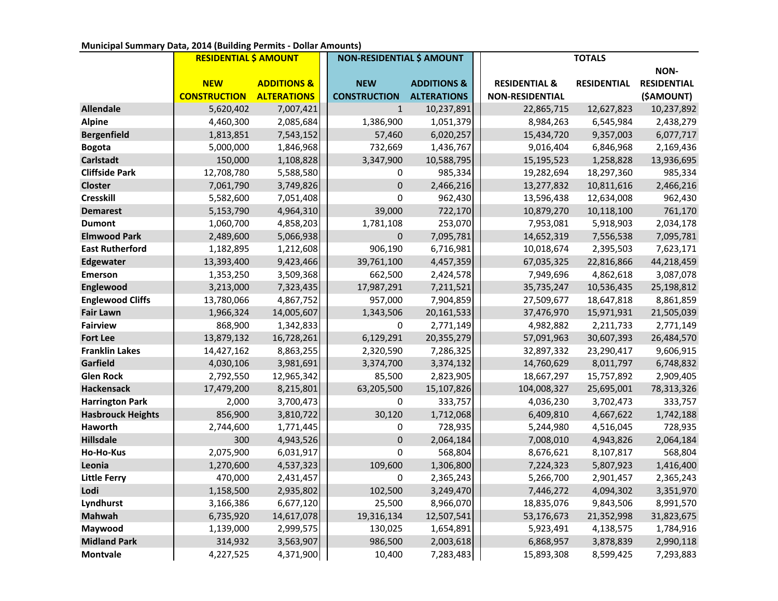## **Municipal Summary Data, 2014 (Building Permits - Dollar Amounts)**

|                          | <b>RESIDENTIAL \$ AMOUNT</b> |                        | <b>NON-RESIDENTIAL \$ AMOUNT</b> |                        | <b>TOTALS</b>            |                    |                    |
|--------------------------|------------------------------|------------------------|----------------------------------|------------------------|--------------------------|--------------------|--------------------|
|                          |                              |                        |                                  |                        |                          |                    | NON-               |
|                          | <b>NEW</b>                   | <b>ADDITIONS &amp;</b> | <b>NEW</b>                       | <b>ADDITIONS &amp;</b> | <b>RESIDENTIAL &amp;</b> | <b>RESIDENTIAL</b> | <b>RESIDENTIAL</b> |
|                          | <b>CONSTRUCTION</b>          | <b>ALTERATIONS</b>     | <b>CONSTRUCTION</b>              | <b>ALTERATIONS</b>     | <b>NON-RESIDENTIAL</b>   |                    | (\$AMOUNT)         |
| <b>Allendale</b>         | 5,620,402                    | 7,007,421              | $\mathbf{1}$                     | 10,237,891             | 22,865,715               | 12,627,823         | 10,237,892         |
| <b>Alpine</b>            | 4,460,300                    | 2,085,684              | 1,386,900                        | 1,051,379              | 8,984,263                | 6,545,984          | 2,438,279          |
| <b>Bergenfield</b>       | 1,813,851                    | 7,543,152              | 57,460                           | 6,020,257              | 15,434,720               | 9,357,003          | 6,077,717          |
| <b>Bogota</b>            | 5,000,000                    | 1,846,968              | 732,669                          | 1,436,767              | 9,016,404                | 6,846,968          | 2,169,436          |
| Carlstadt                | 150,000                      | 1,108,828              | 3,347,900                        | 10,588,795             | 15,195,523               | 1,258,828          | 13,936,695         |
| <b>Cliffside Park</b>    | 12,708,780                   | 5,588,580              | $\pmb{0}$                        | 985,334                | 19,282,694               | 18,297,360         | 985,334            |
| <b>Closter</b>           | 7,061,790                    | 3,749,826              | $\pmb{0}$                        | 2,466,216              | 13,277,832               | 10,811,616         | 2,466,216          |
| <b>Cresskill</b>         | 5,582,600                    | 7,051,408              | 0                                | 962,430                | 13,596,438               | 12,634,008         | 962,430            |
| <b>Demarest</b>          | 5,153,790                    | 4,964,310              | 39,000                           | 722,170                | 10,879,270               | 10,118,100         | 761,170            |
| <b>Dumont</b>            | 1,060,700                    | 4,858,203              | 1,781,108                        | 253,070                | 7,953,081                | 5,918,903          | 2,034,178          |
| <b>Elmwood Park</b>      | 2,489,600                    | 5,066,938              | $\pmb{0}$                        | 7,095,781              | 14,652,319               | 7,556,538          | 7,095,781          |
| <b>East Rutherford</b>   | 1,182,895                    | 1,212,608              | 906,190                          | 6,716,981              | 10,018,674               | 2,395,503          | 7,623,171          |
| Edgewater                | 13,393,400                   | 9,423,466              | 39,761,100                       | 4,457,359              | 67,035,325               | 22,816,866         | 44,218,459         |
| <b>Emerson</b>           | 1,353,250                    | 3,509,368              | 662,500                          | 2,424,578              | 7,949,696                | 4,862,618          | 3,087,078          |
| Englewood                | 3,213,000                    | 7,323,435              | 17,987,291                       | 7,211,521              | 35,735,247               | 10,536,435         | 25,198,812         |
| <b>Englewood Cliffs</b>  | 13,780,066                   | 4,867,752              | 957,000                          | 7,904,859              | 27,509,677               | 18,647,818         | 8,861,859          |
| <b>Fair Lawn</b>         | 1,966,324                    | 14,005,607             | 1,343,506                        | 20,161,533             | 37,476,970               | 15,971,931         | 21,505,039         |
| <b>Fairview</b>          | 868,900                      | 1,342,833              | $\pmb{0}$                        | 2,771,149              | 4,982,882                | 2,211,733          | 2,771,149          |
| <b>Fort Lee</b>          | 13,879,132                   | 16,728,261             | 6,129,291                        | 20,355,279             | 57,091,963               | 30,607,393         | 26,484,570         |
| <b>Franklin Lakes</b>    | 14,427,162                   | 8,863,255              | 2,320,590                        | 7,286,325              | 32,897,332               | 23,290,417         | 9,606,915          |
| Garfield                 | 4,030,106                    | 3,981,691              | 3,374,700                        | 3,374,132              | 14,760,629               | 8,011,797          | 6,748,832          |
| <b>Glen Rock</b>         | 2,792,550                    | 12,965,342             | 85,500                           | 2,823,905              | 18,667,297               | 15,757,892         | 2,909,405          |
| <b>Hackensack</b>        | 17,479,200                   | 8,215,801              | 63,205,500                       | 15,107,826             | 104,008,327              | 25,695,001         | 78,313,326         |
| <b>Harrington Park</b>   | 2,000                        | 3,700,473              | 0                                | 333,757                | 4,036,230                | 3,702,473          | 333,757            |
| <b>Hasbrouck Heights</b> | 856,900                      | 3,810,722              | 30,120                           | 1,712,068              | 6,409,810                | 4,667,622          | 1,742,188          |
| Haworth                  | 2,744,600                    | 1,771,445              | 0                                | 728,935                | 5,244,980                | 4,516,045          | 728,935            |
| <b>Hillsdale</b>         | 300                          | 4,943,526              | $\pmb{0}$                        | 2,064,184              | 7,008,010                | 4,943,826          | 2,064,184          |
| Ho-Ho-Kus                | 2,075,900                    | 6,031,917              | $\pmb{0}$                        | 568,804                | 8,676,621                | 8,107,817          | 568,804            |
| Leonia                   | 1,270,600                    | 4,537,323              | 109,600                          | 1,306,800              | 7,224,323                | 5,807,923          | 1,416,400          |
| <b>Little Ferry</b>      | 470,000                      | 2,431,457              | $\pmb{0}$                        | 2,365,243              | 5,266,700                | 2,901,457          | 2,365,243          |
| Lodi                     | 1,158,500                    | 2,935,802              | 102,500                          | 3,249,470              | 7,446,272                | 4,094,302          | 3,351,970          |
| Lyndhurst                | 3,166,386                    | 6,677,120              | 25,500                           | 8,966,070              | 18,835,076               | 9,843,506          | 8,991,570          |
| <b>Mahwah</b>            | 6,735,920                    | 14,617,078             | 19,316,134                       | 12,507,541             | 53,176,673               | 21,352,998         | 31,823,675         |
| Maywood                  | 1,139,000                    | 2,999,575              | 130,025                          | 1,654,891              | 5,923,491                | 4,138,575          | 1,784,916          |
| <b>Midland Park</b>      | 314,932                      | 3,563,907              | 986,500                          | 2,003,618              | 6,868,957                | 3,878,839          | 2,990,118          |
| <b>Montvale</b>          | 4,227,525                    | 4,371,900              | 10,400                           | 7,283,483              | 15,893,308               | 8,599,425          | 7,293,883          |